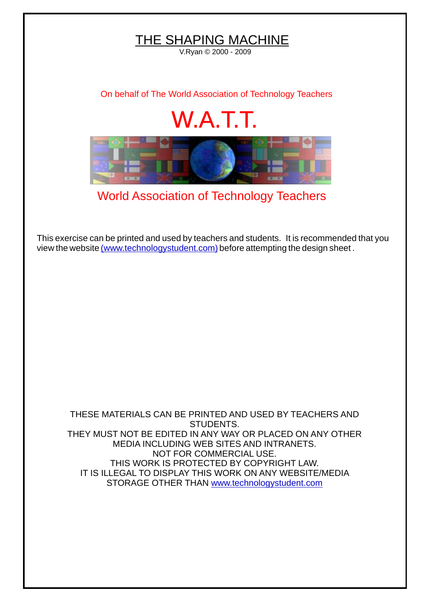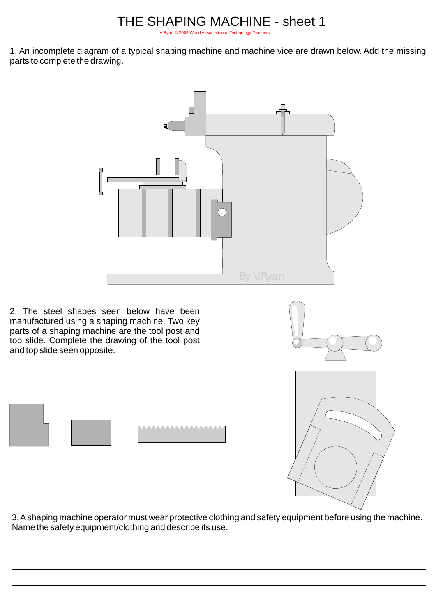## <u> THE SHAPING MACHINE - sheet 1</u>

[V.Ryan © 2009 World Association of Technology Teachers](http://www.technologystudent.com)

1. An incomplete diagram of a typical shaping machine and machine vice are drawn below. Add the missing parts to complete the drawing.



2. The steel shapes seen below have been manufactured using a shaping machine. Two key parts of a shaping machine are the tool post and top slide. Complete the drawing of the tool post and top slide seen opposite.



3. Ashaping machine operator must wear protective clothing and safety equipment before using the machine. Name the safety equipment/clothing and describe its use.